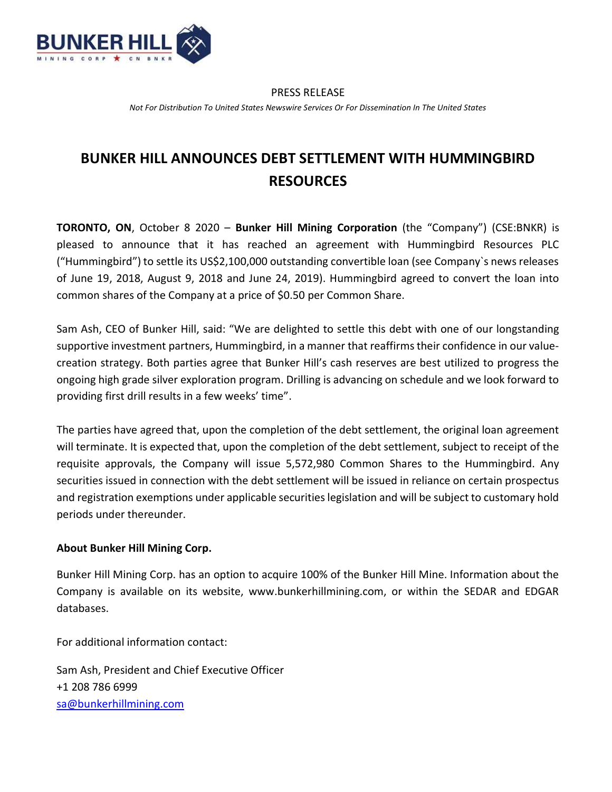

#### PRESS RELEASE

Not For Distribution To United States Newswire Services Or For Dissemination In The United States

# BUNKER HILL ANNOUNCES DEBT SETTLEMENT WITH HUMMINGBIRD RESOURCES

TORONTO, ON, October 8 2020 – Bunker Hill Mining Corporation (the "Company") (CSE:BNKR) is pleased to announce that it has reached an agreement with Hummingbird Resources PLC ("Hummingbird") to settle its US\$2,100,000 outstanding convertible loan (see Company`s news releases of June 19, 2018, August 9, 2018 and June 24, 2019). Hummingbird agreed to convert the loan into common shares of the Company at a price of \$0.50 per Common Share.

Sam Ash, CEO of Bunker Hill, said: "We are delighted to settle this debt with one of our longstanding supportive investment partners, Hummingbird, in a manner that reaffirms their confidence in our valuecreation strategy. Both parties agree that Bunker Hill's cash reserves are best utilized to progress the ongoing high grade silver exploration program. Drilling is advancing on schedule and we look forward to providing first drill results in a few weeks' time".

The parties have agreed that, upon the completion of the debt settlement, the original loan agreement will terminate. It is expected that, upon the completion of the debt settlement, subject to receipt of the requisite approvals, the Company will issue 5,572,980 Common Shares to the Hummingbird. Any securities issued in connection with the debt settlement will be issued in reliance on certain prospectus and registration exemptions under applicable securities legislation and will be subject to customary hold periods under thereunder.

## About Bunker Hill Mining Corp.

Bunker Hill Mining Corp. has an option to acquire 100% of the Bunker Hill Mine. Information about the Company is available on its website, www.bunkerhillmining.com, or within the SEDAR and EDGAR databases.

For additional information contact:

Sam Ash, President and Chief Executive Officer +1 208 786 6999 sa@bunkerhillmining.com